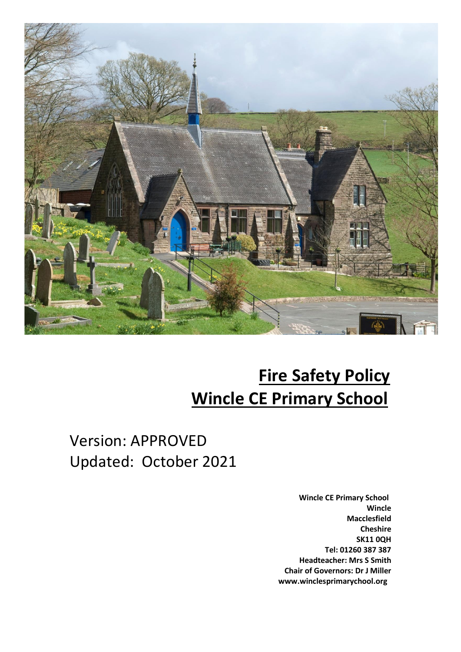

# **Fire Safety Policy Wincle CE Primary School**

## Version: APPROVED Updated: October 2021

 **Wincle CE Primary School Wincle Macclesfield Cheshire SK11 0QH Tel: 01260 387 387 Headteacher: Mrs S Smith Chair of Governors: Dr J Miller www.winclesprimarychool.org**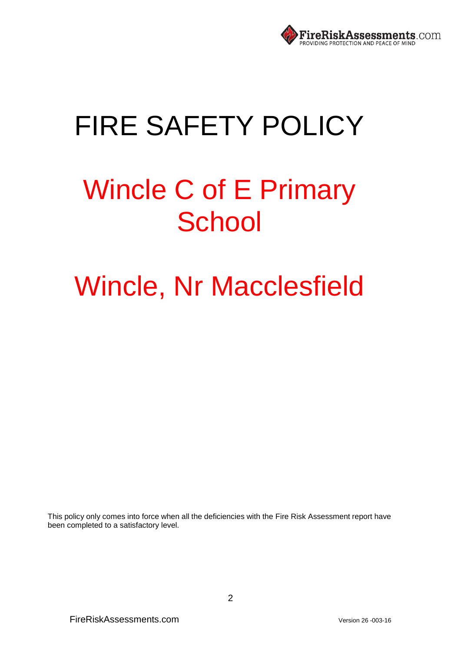

# FIRE SAFETY POLICY

# Wincle C of E Primary **School**

# Wincle, Nr Macclesfield

This policy only comes into force when all the deficiencies with the Fire Risk Assessment report have been completed to a satisfactory level.

FireRiskAssessments.com Version <sup>26</sup> -003-16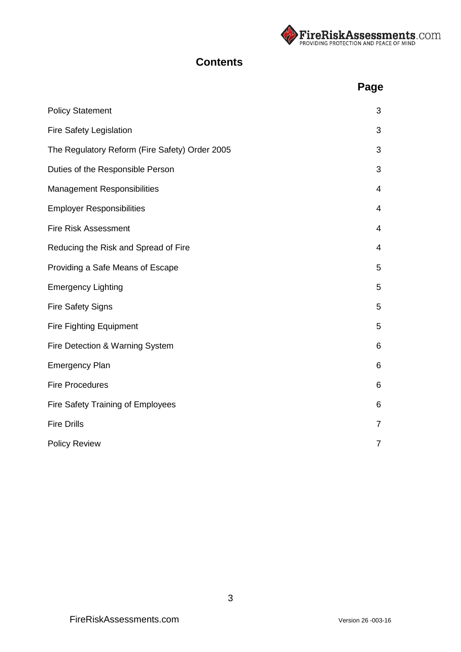

### **Contents**

|                                                | <b>Page</b>    |
|------------------------------------------------|----------------|
| <b>Policy Statement</b>                        | 3              |
| Fire Safety Legislation                        | 3              |
| The Regulatory Reform (Fire Safety) Order 2005 | 3              |
| Duties of the Responsible Person               | 3              |
| <b>Management Responsibilities</b>             | 4              |
| <b>Employer Responsibilities</b>               | 4              |
| <b>Fire Risk Assessment</b>                    | 4              |
| Reducing the Risk and Spread of Fire           | 4              |
| Providing a Safe Means of Escape               | 5              |
| <b>Emergency Lighting</b>                      | 5              |
| <b>Fire Safety Signs</b>                       | 5              |
| <b>Fire Fighting Equipment</b>                 | 5              |
| Fire Detection & Warning System                | 6              |
| <b>Emergency Plan</b>                          | 6              |
| <b>Fire Procedures</b>                         | 6              |
| Fire Safety Training of Employees              | 6              |
| <b>Fire Drills</b>                             | $\overline{7}$ |
| <b>Policy Review</b>                           | $\overline{7}$ |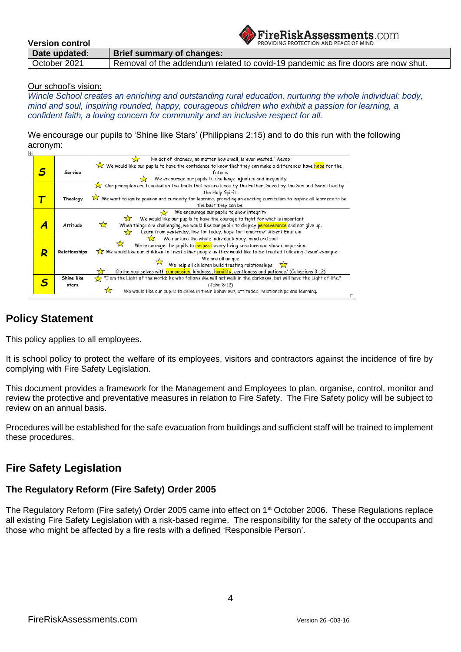| <b>Version control</b> | <b>BEIreRiskAssessments.com</b><br>PROVIDING PROTECTION AND PEACE OF MIND        |
|------------------------|----------------------------------------------------------------------------------|
| Date updated:          | <b>Brief summary of changes:</b>                                                 |
| October 2021           | Removal of the addendum related to covid-19 pandemic as fire doors are now shut. |

Our school's vision:

*Wincle School creates an enriching and outstanding rural education, nurturing the whole individual: body, mind and soul, inspiring rounded, happy, courageous children who exhibit a passion for learning, a confident faith, a loving concern for community and an inclusive respect for all.*

We encourage our pupils to 'Shine like Stars' (Philippians 2:15) and to do this run with the following acronym:

|  |                 | No act of kindness, no matter how small, is ever wasted." Aesop                                                                     |
|--|-----------------|-------------------------------------------------------------------------------------------------------------------------------------|
|  |                 | We would like our pupils to have the confidence to know that they can make a difference: have hope for the                          |
|  | Service         | future.                                                                                                                             |
|  |                 | We encourage our pupils to challenge injustice and inequality                                                                       |
|  |                 | $\sqrt{\chi}$ Our principles are founded on the truth that we are loved by the Father, Saved by the Son and Sanctified by           |
|  |                 | the Holy Spirit.                                                                                                                    |
|  | Theology        | $\hat{\times}$ We want to ignite passion and curiosity for learning, providing an exciting curriculum to inspire all learners to be |
|  |                 | the best they can be.                                                                                                               |
|  |                 | We encourage our pupils to show integrity                                                                                           |
|  |                 | We would like our pupils to have the courage to fight for what is important                                                         |
|  | <b>Attitude</b> | ☆<br>When things are challenging, we would like our pupils to display perseverance and not give up.                                 |
|  |                 | Learn from yesterday, live for today, hope for tomorrow" Albert Einstein                                                            |
|  |                 | We nurture the whole individual: body, mind and soul<br>57                                                                          |
|  |                 | We encourage the pupils to respect every living creature and show compassion.                                                       |
|  | Relationships   | We would like our children to treat other people as they would like to be treated following Jesus' example.                         |
|  |                 | We are all unique                                                                                                                   |
|  |                 | We help all children build trusting relationships $\sqrt{\lambda}$                                                                  |
|  |                 | Clothe yourselves with compassion, kindness, humility, gentleness and patience.' (Colossians 3:12)                                  |
|  | Shine like      | the Light of the world; he who follows Me will not walk in the darkness, but will have the Light of life."<br><del>√≻</del> "I      |
|  | stars           | (John 8:12)                                                                                                                         |
|  |                 | We would like our pupils to shine in their behaviour, attitudes, relationships and learning.                                        |
|  |                 |                                                                                                                                     |

### **Policy Statement**

This policy applies to all employees.

It is school policy to protect the welfare of its employees, visitors and contractors against the incidence of fire by complying with Fire Safety Legislation.

This document provides a framework for the Management and Employees to plan, organise, control, monitor and review the protective and preventative measures in relation to Fire Safety. The Fire Safety policy will be subject to review on an annual basis.

Procedures will be established for the safe evacuation from buildings and sufficient staff will be trained to implement these procedures.

## **Fire Safety Legislation**

### **The Regulatory Reform (Fire Safety) Order 2005**

The Regulatory Reform (Fire safety) Order 2005 came into effect on 1<sup>st</sup> October 2006. These Regulations replace all existing Fire Safety Legislation with a risk-based regime. The responsibility for the safety of the occupants and those who might be affected by a fire rests with a defined 'Responsible Person'.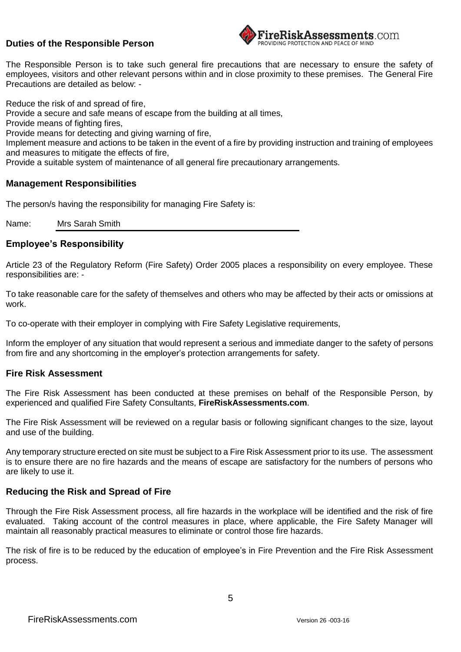#### **Duties of the Responsible Person**



The Responsible Person is to take such general fire precautions that are necessary to ensure the safety of employees, visitors and other relevant persons within and in close proximity to these premises. The General Fire Precautions are detailed as below: -

Reduce the risk of and spread of fire,

Provide a secure and safe means of escape from the building at all times,

Provide means of fighting fires,

Provide means for detecting and giving warning of fire,

Implement measure and actions to be taken in the event of a fire by providing instruction and training of employees and measures to mitigate the effects of fire,

Provide a suitable system of maintenance of all general fire precautionary arrangements.

#### **Management Responsibilities**

The person/s having the responsibility for managing Fire Safety is:

Name: Mrs Sarah Smith

#### **Employee's Responsibility**

Article 23 of the Regulatory Reform (Fire Safety) Order 2005 places a responsibility on every employee. These responsibilities are: -

To take reasonable care for the safety of themselves and others who may be affected by their acts or omissions at work.

To co-operate with their employer in complying with Fire Safety Legislative requirements,

Inform the employer of any situation that would represent a serious and immediate danger to the safety of persons from fire and any shortcoming in the employer's protection arrangements for safety.

#### **Fire Risk Assessment**

The Fire Risk Assessment has been conducted at these premises on behalf of the Responsible Person, by experienced and qualified Fire Safety Consultants, **FireRiskAssessments.com**.

The Fire Risk Assessment will be reviewed on a regular basis or following significant changes to the size, layout and use of the building.

Any temporary structure erected on site must be subject to a Fire Risk Assessment prior to its use. The assessment is to ensure there are no fire hazards and the means of escape are satisfactory for the numbers of persons who are likely to use it.

#### **Reducing the Risk and Spread of Fire**

Through the Fire Risk Assessment process, all fire hazards in the workplace will be identified and the risk of fire evaluated. Taking account of the control measures in place, where applicable, the Fire Safety Manager will maintain all reasonably practical measures to eliminate or control those fire hazards.

The risk of fire is to be reduced by the education of employee's in Fire Prevention and the Fire Risk Assessment process.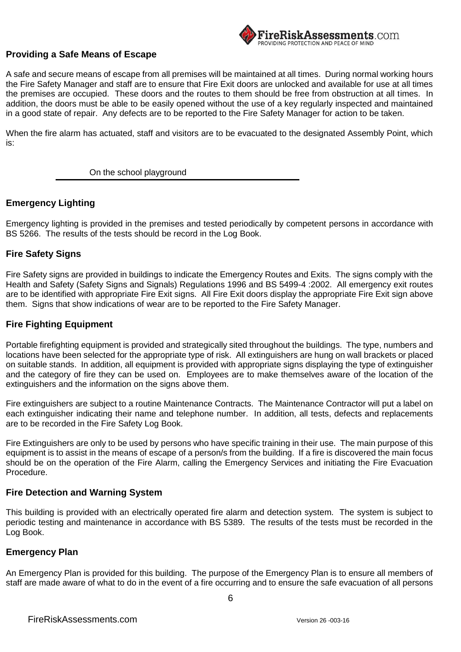

#### **Providing a Safe Means of Escape**

A safe and secure means of escape from all premises will be maintained at all times. During normal working hours the Fire Safety Manager and staff are to ensure that Fire Exit doors are unlocked and available for use at all times the premises are occupied. These doors and the routes to them should be free from obstruction at all times. In addition, the doors must be able to be easily opened without the use of a key regularly inspected and maintained in a good state of repair. Any defects are to be reported to the Fire Safety Manager for action to be taken.

When the fire alarm has actuated, staff and visitors are to be evacuated to the designated Assembly Point, which is:

#### On the school playground

#### **Emergency Lighting**

Emergency lighting is provided in the premises and tested periodically by competent persons in accordance with BS 5266. The results of the tests should be record in the Log Book.

#### **Fire Safety Signs**

Fire Safety signs are provided in buildings to indicate the Emergency Routes and Exits. The signs comply with the Health and Safety (Safety Signs and Signals) Regulations 1996 and BS 5499-4 :2002. All emergency exit routes are to be identified with appropriate Fire Exit signs. All Fire Exit doors display the appropriate Fire Exit sign above them. Signs that show indications of wear are to be reported to the Fire Safety Manager.

#### **Fire Fighting Equipment**

Portable firefighting equipment is provided and strategically sited throughout the buildings. The type, numbers and locations have been selected for the appropriate type of risk. All extinguishers are hung on wall brackets or placed on suitable stands. In addition, all equipment is provided with appropriate signs displaying the type of extinguisher and the category of fire they can be used on. Employees are to make themselves aware of the location of the extinguishers and the information on the signs above them.

Fire extinguishers are subject to a routine Maintenance Contracts. The Maintenance Contractor will put a label on each extinguisher indicating their name and telephone number. In addition, all tests, defects and replacements are to be recorded in the Fire Safety Log Book.

Fire Extinguishers are only to be used by persons who have specific training in their use. The main purpose of this equipment is to assist in the means of escape of a person/s from the building. If a fire is discovered the main focus should be on the operation of the Fire Alarm, calling the Emergency Services and initiating the Fire Evacuation Procedure.

#### **Fire Detection and Warning System**

This building is provided with an electrically operated fire alarm and detection system. The system is subject to periodic testing and maintenance in accordance with BS 5389. The results of the tests must be recorded in the Log Book.

#### **Emergency Plan**

An Emergency Plan is provided for this building. The purpose of the Emergency Plan is to ensure all members of staff are made aware of what to do in the event of a fire occurring and to ensure the safe evacuation of all persons